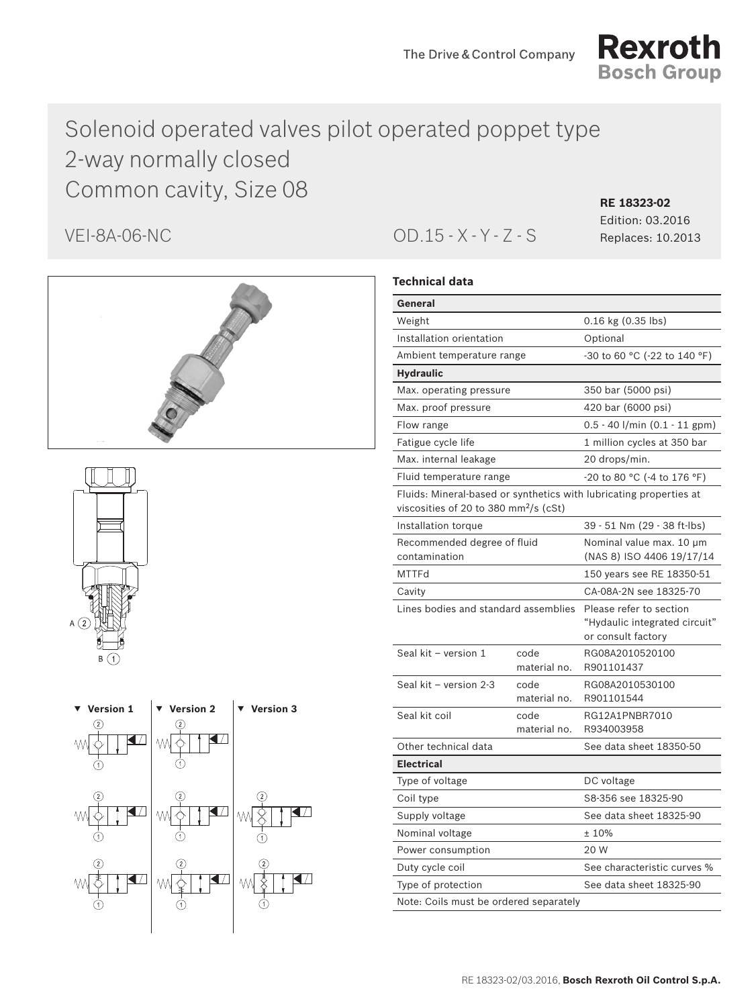

# Solenoid operated valves pilot operated poppet type 2-way normally closed Common cavity, Size 08 **RE 18323-02**







VEI-8A-06-NC OD.15 - X - Y - Z - S Replaces: 10.2013

Edition: 03.2016

# **Technical data**

| General                                           |                                                                                                                        |                                                                    |  |
|---------------------------------------------------|------------------------------------------------------------------------------------------------------------------------|--------------------------------------------------------------------|--|
| Weight                                            |                                                                                                                        | 0.16 kg (0.35 lbs)                                                 |  |
| Installation orientation                          |                                                                                                                        | Optional                                                           |  |
| Ambient temperature range                         |                                                                                                                        | -30 to 60 °C (-22 to 140 °F)                                       |  |
| <b>Hydraulic</b>                                  |                                                                                                                        |                                                                    |  |
| Max. operating pressure                           |                                                                                                                        | 350 bar (5000 psi)                                                 |  |
| Max. proof pressure                               |                                                                                                                        | 420 bar (6000 psi)                                                 |  |
| Flow range                                        |                                                                                                                        | $0.5 - 40$ l/min $(0.1 - 11$ gpm)                                  |  |
| Fatigue cycle life                                |                                                                                                                        | 1 million cycles at 350 bar                                        |  |
| Max. internal leakage                             |                                                                                                                        |                                                                    |  |
| Fluid temperature range                           | -20 to 80 °C (-4 to 176 °F)                                                                                            |                                                                    |  |
| viscosities of 20 to 380 mm <sup>2</sup> /s (cSt) |                                                                                                                        | Fluids: Mineral-based or synthetics with lubricating properties at |  |
| Installation torque                               |                                                                                                                        | 39 - 51 Nm (29 - 38 ft-lbs)                                        |  |
| Recommended degree of fluid<br>contamination      |                                                                                                                        | Nominal value max. 10 µm<br>(NAS 8) ISO 4406 19/17/14              |  |
| <b>MTTFd</b>                                      |                                                                                                                        | 150 years see RE 18350-51                                          |  |
| Cavity                                            |                                                                                                                        | CA-08A-2N see 18325-70                                             |  |
|                                                   | Lines bodies and standard assemblies<br>Please refer to section<br>"Hydaulic integrated circuit"<br>or consult factory |                                                                    |  |
| Seal kit - version 1                              | code<br>material no.                                                                                                   | RG08A2010520100<br>R901101437                                      |  |
| Seal kit - version 2-3                            | code<br>material no.                                                                                                   | RG08A2010530100<br>R901101544                                      |  |
| Seal kit coil                                     | code<br>material no.                                                                                                   | RG12A1PNBR7010<br>R934003958                                       |  |
| Other technical data                              |                                                                                                                        | See data sheet 18350-50                                            |  |
| <b>Electrical</b>                                 |                                                                                                                        |                                                                    |  |
| Type of voltage                                   |                                                                                                                        | DC voltage                                                         |  |
| Coil type                                         |                                                                                                                        | S8-356 see 18325-90                                                |  |
| Supply voltage                                    |                                                                                                                        | See data sheet 18325-90                                            |  |
| Nominal voltage                                   |                                                                                                                        | ±10%                                                               |  |
| Power consumption                                 |                                                                                                                        | 20 W                                                               |  |
| Duty cycle coil                                   |                                                                                                                        | See characteristic curves %                                        |  |
| Type of protection                                |                                                                                                                        | See data sheet 18325-90                                            |  |
| Note: Coils must be ordered separately            |                                                                                                                        |                                                                    |  |
|                                                   |                                                                                                                        |                                                                    |  |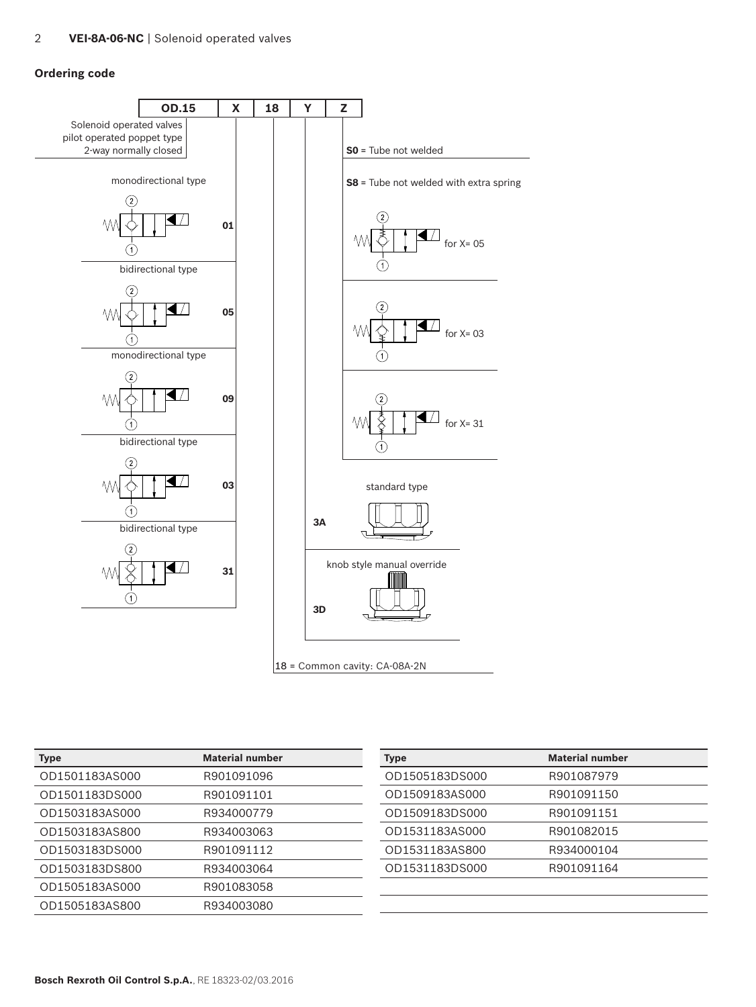# **Ordering code**



| <b>Type</b>    | <b>Material number</b> | <b>Type</b>    | <b>Material number</b> |
|----------------|------------------------|----------------|------------------------|
| OD1501183AS000 | R901091096             | OD1505183DS000 | R901087979             |
| OD1501183DS000 | R901091101             | OD1509183AS000 | R901091150             |
| OD1503183AS000 | R934000779             | OD1509183DS000 | R901091151             |
| OD1503183AS800 | R934003063             | OD1531183AS000 | R901082015             |
| OD1503183DS000 | R901091112             | OD1531183AS800 | R934000104             |
| OD1503183DS800 | R934003064             | OD1531183DS000 | R901091164             |
| OD1505183AS000 | R901083058             |                |                        |
| OD1505183AS800 | R934003080             |                |                        |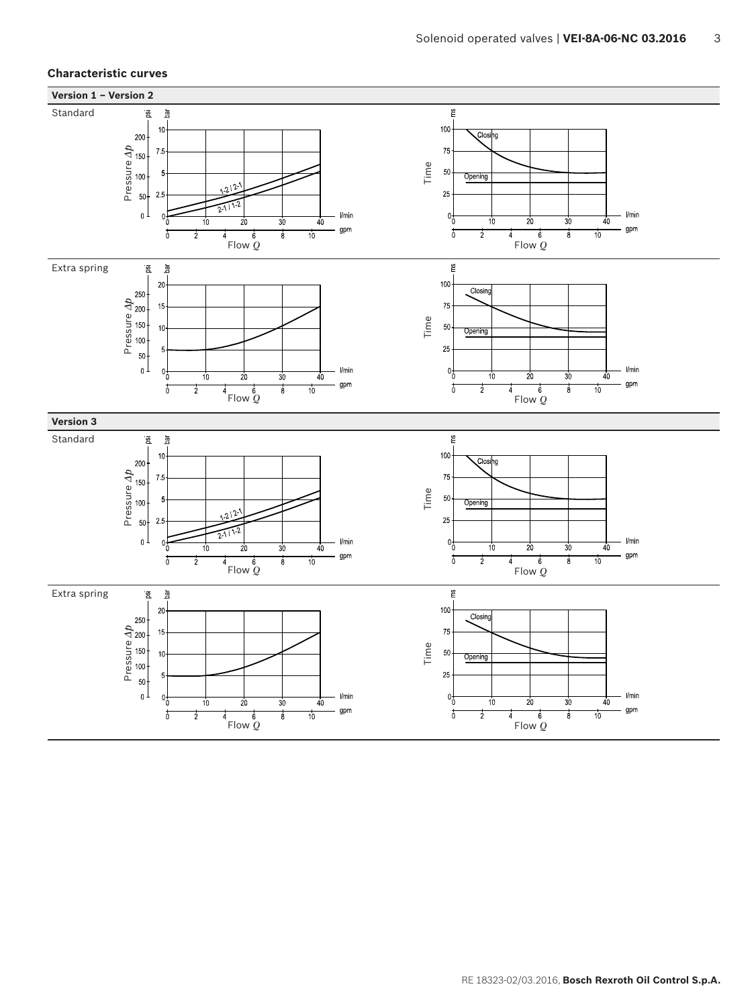## **Characteristic curves**